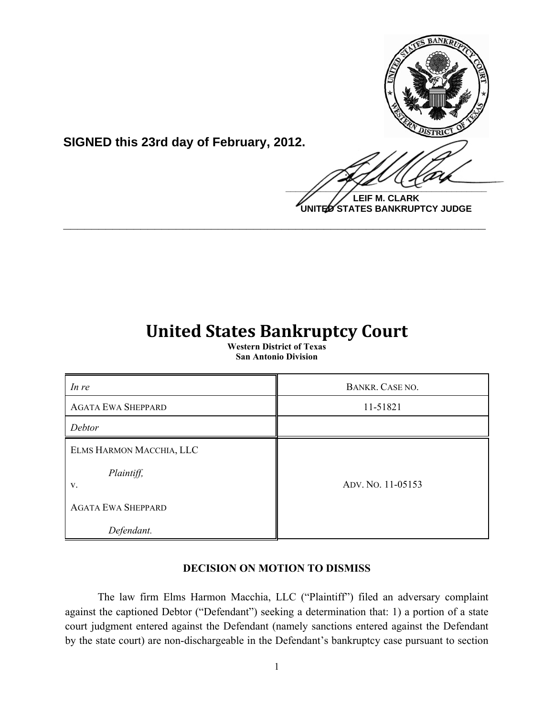

**SIGNED this 23rd day of February, 2012.**

**LEIF M. CLARK UNITED STATES BANKRUPTCY JUDGE**

## **United States Bankruptcy Court**

**\_\_\_\_\_\_\_\_\_\_\_\_\_\_\_\_\_\_\_\_\_\_\_\_\_\_\_\_\_\_\_\_\_\_\_\_\_\_\_\_\_\_\_\_\_\_\_\_\_\_\_\_\_\_\_\_\_\_\_\_**

**Western District of Texas San Antonio Division**

| In re                                        | BANKR. CASE NO.   |
|----------------------------------------------|-------------------|
| <b>AGATA EWA SHEPPARD</b>                    | 11-51821          |
| Debtor                                       |                   |
| ELMS HARMON MACCHIA, LLC<br>Plaintiff,<br>V. | ADV. NO. 11-05153 |
| <b>AGATA EWA SHEPPARD</b><br>Defendant.      |                   |

## **DECISION ON MOTION TO DISMISS**

The law firm Elms Harmon Macchia, LLC ("Plaintiff") filed an adversary complaint against the captioned Debtor ("Defendant") seeking a determination that: 1) a portion of a state court judgment entered against the Defendant (namely sanctions entered against the Defendant by the state court) are non-dischargeable in the Defendant's bankruptcy case pursuant to section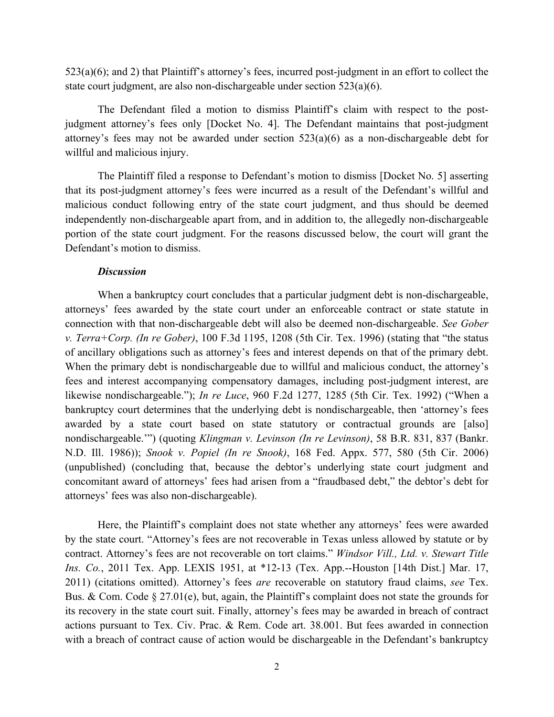523(a)(6); and 2) that Plaintiff's attorney's fees, incurred post-judgment in an effort to collect the state court judgment, are also non-dischargeable under section 523(a)(6).

The Defendant filed a motion to dismiss Plaintiff's claim with respect to the postjudgment attorney's fees only [Docket No. 4]. The Defendant maintains that post-judgment attorney's fees may not be awarded under section 523(a)(6) as a non-dischargeable debt for willful and malicious injury.

The Plaintiff filed a response to Defendant's motion to dismiss [Docket No. 5] asserting that its post-judgment attorney's fees were incurred as a result of the Defendant's willful and malicious conduct following entry of the state court judgment, and thus should be deemed independently non-dischargeable apart from, and in addition to, the allegedly non-dischargeable portion of the state court judgment. For the reasons discussed below, the court will grant the Defendant's motion to dismiss.

## *Discussion*

When a bankruptcy court concludes that a particular judgment debt is non-dischargeable, attorneys' fees awarded by the state court under an enforceable contract or state statute in connection with that non-dischargeable debt will also be deemed non-dischargeable. *See Gober v. Terra+Corp. (In re Gober)*, 100 F.3d 1195, 1208 (5th Cir. Tex. 1996) (stating that "the status of ancillary obligations such as attorney's fees and interest depends on that of the primary debt. When the primary debt is nondischargeable due to willful and malicious conduct, the attorney's fees and interest accompanying compensatory damages, including post-judgment interest, are likewise nondischargeable."); *In re Luce*, 960 F.2d 1277, 1285 (5th Cir. Tex. 1992) ("When a bankruptcy court determines that the underlying debt is nondischargeable, then 'attorney's fees awarded by a state court based on state statutory or contractual grounds are [also] nondischargeable.'") (quoting *Klingman v. Levinson (In re Levinson)*, 58 B.R. 831, 837 (Bankr. N.D. Ill. 1986)); *Snook v. Popiel (In re Snook)*, 168 Fed. Appx. 577, 580 (5th Cir. 2006) (unpublished) (concluding that, because the debtor's underlying state court judgment and concomitant award of attorneys' fees had arisen from a "fraudbased debt," the debtor's debt for attorneys' fees was also non-dischargeable).

Here, the Plaintiff's complaint does not state whether any attorneys' fees were awarded by the state court. "Attorney's fees are not recoverable in Texas unless allowed by statute or by contract. Attorney's fees are not recoverable on tort claims." *Windsor Vill., Ltd. v. Stewart Title Ins. Co.*, 2011 Tex. App. LEXIS 1951, at \*12-13 (Tex. App.--Houston [14th Dist.] Mar. 17, 2011) (citations omitted). Attorney's fees *are* recoverable on statutory fraud claims, *see* Tex. Bus. & Com. Code § 27.01(e), but, again, the Plaintiff's complaint does not state the grounds for its recovery in the state court suit. Finally, attorney's fees may be awarded in breach of contract actions pursuant to Tex. Civ. Prac. & Rem. Code art. 38.001. But fees awarded in connection with a breach of contract cause of action would be dischargeable in the Defendant's bankruptcy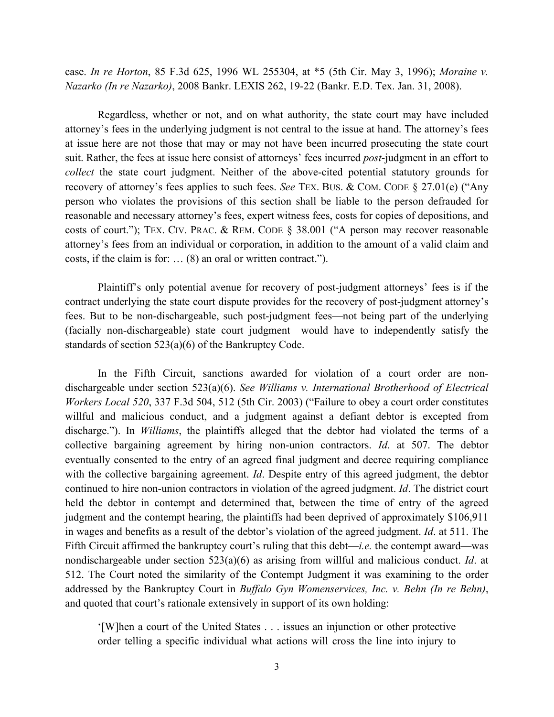case. *In re Horton*, 85 F.3d 625, 1996 WL 255304, at \*5 (5th Cir. May 3, 1996); *Moraine v. Nazarko (In re Nazarko)*, 2008 Bankr. LEXIS 262, 19-22 (Bankr. E.D. Tex. Jan. 31, 2008).

Regardless, whether or not, and on what authority, the state court may have included attorney's fees in the underlying judgment is not central to the issue at hand. The attorney's fees at issue here are not those that may or may not have been incurred prosecuting the state court suit. Rather, the fees at issue here consist of attorneys' fees incurred *post*-judgment in an effort to *collect* the state court judgment. Neither of the above-cited potential statutory grounds for recovery of attorney's fees applies to such fees. *See* TEX. BUS. & COM. CODE § 27.01(e) ("Any person who violates the provisions of this section shall be liable to the person defrauded for reasonable and necessary attorney's fees, expert witness fees, costs for copies of depositions, and costs of court."); TEX. CIV. PRAC. & REM. CODE § 38.001 ("A person may recover reasonable attorney's fees from an individual or corporation, in addition to the amount of a valid claim and costs, if the claim is for: … (8) an oral or written contract.").

Plaintiff's only potential avenue for recovery of post-judgment attorneys' fees is if the contract underlying the state court dispute provides for the recovery of post-judgment attorney's fees. But to be non-dischargeable, such post-judgment fees—not being part of the underlying (facially non-dischargeable) state court judgment—would have to independently satisfy the standards of section 523(a)(6) of the Bankruptcy Code.

In the Fifth Circuit, sanctions awarded for violation of a court order are nondischargeable under section 523(a)(6). *See Williams v. International Brotherhood of Electrical Workers Local 520*, 337 F.3d 504, 512 (5th Cir. 2003) ("Failure to obey a court order constitutes willful and malicious conduct, and a judgment against a defiant debtor is excepted from discharge."). In *Williams*, the plaintiffs alleged that the debtor had violated the terms of a collective bargaining agreement by hiring non-union contractors. *Id*. at 507. The debtor eventually consented to the entry of an agreed final judgment and decree requiring compliance with the collective bargaining agreement. *Id*. Despite entry of this agreed judgment, the debtor continued to hire non-union contractors in violation of the agreed judgment. *Id*. The district court held the debtor in contempt and determined that, between the time of entry of the agreed judgment and the contempt hearing, the plaintiffs had been deprived of approximately \$106,911 in wages and benefits as a result of the debtor's violation of the agreed judgment. *Id*. at 511. The Fifth Circuit affirmed the bankruptcy court's ruling that this debt—*i.e.* the contempt award—was nondischargeable under section 523(a)(6) as arising from willful and malicious conduct. *Id*. at 512. The Court noted the similarity of the Contempt Judgment it was examining to the order addressed by the Bankruptcy Court in *Buffalo Gyn Womenservices, Inc. v. Behn (In re Behn)*, and quoted that court's rationale extensively in support of its own holding:

'[W]hen a court of the United States . . . issues an injunction or other protective order telling a specific individual what actions will cross the line into injury to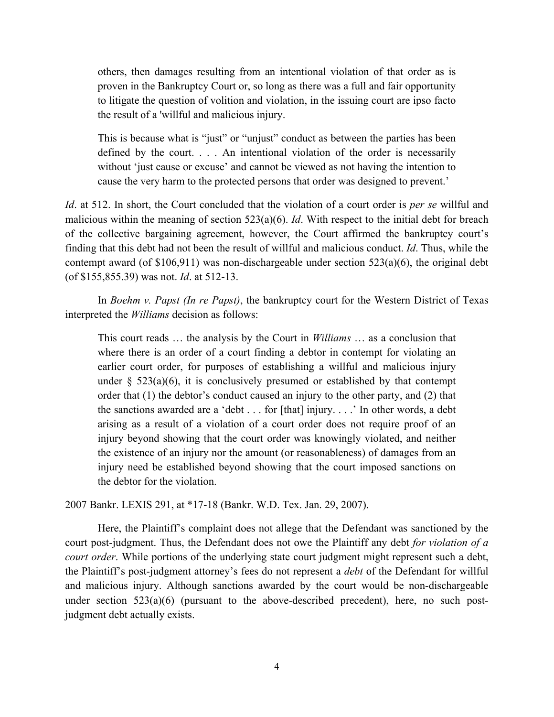others, then damages resulting from an intentional violation of that order as is proven in the Bankruptcy Court or, so long as there was a full and fair opportunity to litigate the question of volition and violation, in the issuing court are ipso facto the result of a 'willful and malicious injury.

This is because what is "just" or "unjust" conduct as between the parties has been defined by the court. . . . An intentional violation of the order is necessarily without 'just cause or excuse' and cannot be viewed as not having the intention to cause the very harm to the protected persons that order was designed to prevent.'

*Id*. at 512. In short, the Court concluded that the violation of a court order is *per se* willful and malicious within the meaning of section 523(a)(6). *Id*. With respect to the initial debt for breach of the collective bargaining agreement, however, the Court affirmed the bankruptcy court's finding that this debt had not been the result of willful and malicious conduct. *Id*. Thus, while the contempt award (of  $$106,911$ ) was non-dischargeable under section  $523(a)(6)$ , the original debt (of \$155,855.39) was not. *Id*. at 512-13.

In *Boehm v. Papst (In re Papst)*, the bankruptcy court for the Western District of Texas interpreted the *Williams* decision as follows:

This court reads … the analysis by the Court in *Williams* … as a conclusion that where there is an order of a court finding a debtor in contempt for violating an earlier court order, for purposes of establishing a willful and malicious injury under  $\S$  523(a)(6), it is conclusively presumed or established by that contempt order that (1) the debtor's conduct caused an injury to the other party, and (2) that the sanctions awarded are a 'debt . . . for [that] injury. . . .' In other words, a debt arising as a result of a violation of a court order does not require proof of an injury beyond showing that the court order was knowingly violated, and neither the existence of an injury nor the amount (or reasonableness) of damages from an injury need be established beyond showing that the court imposed sanctions on the debtor for the violation.

2007 Bankr. LEXIS 291, at \*17-18 (Bankr. W.D. Tex. Jan. 29, 2007).

Here, the Plaintiff's complaint does not allege that the Defendant was sanctioned by the court post-judgment. Thus, the Defendant does not owe the Plaintiff any debt *for violation of a court order*. While portions of the underlying state court judgment might represent such a debt, the Plaintiff's post-judgment attorney's fees do not represent a *debt* of the Defendant for willful and malicious injury. Although sanctions awarded by the court would be non-dischargeable under section 523(a)(6) (pursuant to the above-described precedent), here, no such postjudgment debt actually exists.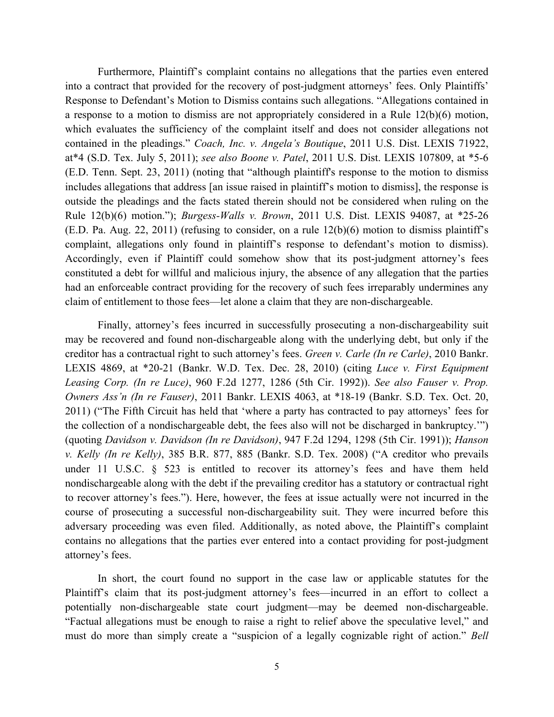Furthermore, Plaintiff's complaint contains no allegations that the parties even entered into a contract that provided for the recovery of post-judgment attorneys' fees. Only Plaintiffs' Response to Defendant's Motion to Dismiss contains such allegations. "Allegations contained in a response to a motion to dismiss are not appropriately considered in a Rule 12(b)(6) motion, which evaluates the sufficiency of the complaint itself and does not consider allegations not contained in the pleadings." *Coach, Inc. v. Angela's Boutique*, 2011 U.S. Dist. LEXIS 71922, at\*4 (S.D. Tex. July 5, 2011); *see also Boone v. Patel*, 2011 U.S. Dist. LEXIS 107809, at \*5-6 (E.D. Tenn. Sept. 23, 2011) (noting that "although plaintiff's response to the motion to dismiss includes allegations that address [an issue raised in plaintiff's motion to dismiss], the response is outside the pleadings and the facts stated therein should not be considered when ruling on the Rule 12(b)(6) motion."); *Burgess-Walls v. Brown*, 2011 U.S. Dist. LEXIS 94087, at \*25-26 (E.D. Pa. Aug. 22, 2011) (refusing to consider, on a rule 12(b)(6) motion to dismiss plaintiff's complaint, allegations only found in plaintiff's response to defendant's motion to dismiss). Accordingly, even if Plaintiff could somehow show that its post-judgment attorney's fees constituted a debt for willful and malicious injury, the absence of any allegation that the parties had an enforceable contract providing for the recovery of such fees irreparably undermines any claim of entitlement to those fees—let alone a claim that they are non-dischargeable.

Finally, attorney's fees incurred in successfully prosecuting a non-dischargeability suit may be recovered and found non-dischargeable along with the underlying debt, but only if the creditor has a contractual right to such attorney's fees. *Green v. Carle (In re Carle)*, 2010 Bankr. LEXIS 4869, at \*20-21 (Bankr. W.D. Tex. Dec. 28, 2010) (citing *Luce v. First Equipment Leasing Corp. (In re Luce)*, 960 F.2d 1277, 1286 (5th Cir. 1992)). *See also Fauser v. Prop. Owners Ass'n (In re Fauser)*, 2011 Bankr. LEXIS 4063, at \*18-19 (Bankr. S.D. Tex. Oct. 20, 2011) ("The Fifth Circuit has held that 'where a party has contracted to pay attorneys' fees for the collection of a nondischargeable debt, the fees also will not be discharged in bankruptcy.'") (quoting *Davidson v. Davidson (In re Davidson)*, 947 F.2d 1294, 1298 (5th Cir. 1991)); *Hanson v. Kelly (In re Kelly)*, 385 B.R. 877, 885 (Bankr. S.D. Tex. 2008) ("A creditor who prevails under 11 U.S.C. § 523 is entitled to recover its attorney's fees and have them held nondischargeable along with the debt if the prevailing creditor has a statutory or contractual right to recover attorney's fees."). Here, however, the fees at issue actually were not incurred in the course of prosecuting a successful non-dischargeability suit. They were incurred before this adversary proceeding was even filed. Additionally, as noted above, the Plaintiff's complaint contains no allegations that the parties ever entered into a contact providing for post-judgment attorney's fees.

In short, the court found no support in the case law or applicable statutes for the Plaintiff's claim that its post-judgment attorney's fees—incurred in an effort to collect a potentially non-dischargeable state court judgment—may be deemed non-dischargeable. "Factual allegations must be enough to raise a right to relief above the speculative level," and must do more than simply create a "suspicion of a legally cognizable right of action." *Bell*